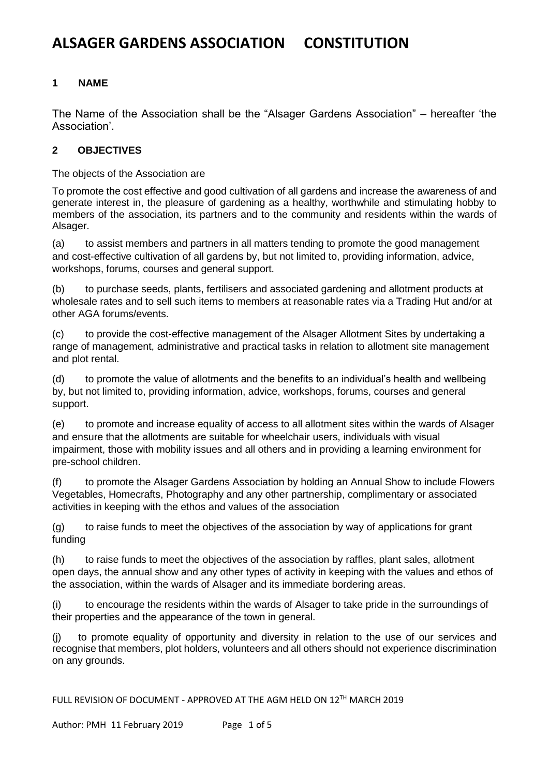# **1 NAME**

The Name of the Association shall be the "Alsager Gardens Association" – hereafter 'the Association'.

# **2 OBJECTIVES**

The objects of the Association are

To promote the cost effective and good cultivation of all gardens and increase the awareness of and generate interest in, the pleasure of gardening as a healthy, worthwhile and stimulating hobby to members of the association, its partners and to the community and residents within the wards of Alsager.

(a) to assist members and partners in all matters tending to promote the good management and cost-effective cultivation of all gardens by, but not limited to, providing information, advice, workshops, forums, courses and general support.

(b) to purchase seeds, plants, fertilisers and associated gardening and allotment products at wholesale rates and to sell such items to members at reasonable rates via a Trading Hut and/or at other AGA forums/events.

(c) to provide the cost-effective management of the Alsager Allotment Sites by undertaking a range of management, administrative and practical tasks in relation to allotment site management and plot rental.

(d) to promote the value of allotments and the benefits to an individual's health and wellbeing by, but not limited to, providing information, advice, workshops, forums, courses and general support.

(e) to promote and increase equality of access to all allotment sites within the wards of Alsager and ensure that the allotments are suitable for wheelchair users, individuals with visual impairment, those with mobility issues and all others and in providing a learning environment for pre-school children.

(f) to promote the Alsager Gardens Association by holding an Annual Show to include Flowers Vegetables, Homecrafts, Photography and any other partnership, complimentary or associated activities in keeping with the ethos and values of the association

(g) to raise funds to meet the objectives of the association by way of applications for grant funding

(h) to raise funds to meet the objectives of the association by raffles, plant sales, allotment open days, the annual show and any other types of activity in keeping with the values and ethos of the association, within the wards of Alsager and its immediate bordering areas.

(i) to encourage the residents within the wards of Alsager to take pride in the surroundings of their properties and the appearance of the town in general.

(j) to promote equality of opportunity and diversity in relation to the use of our services and recognise that members, plot holders, volunteers and all others should not experience discrimination on any grounds.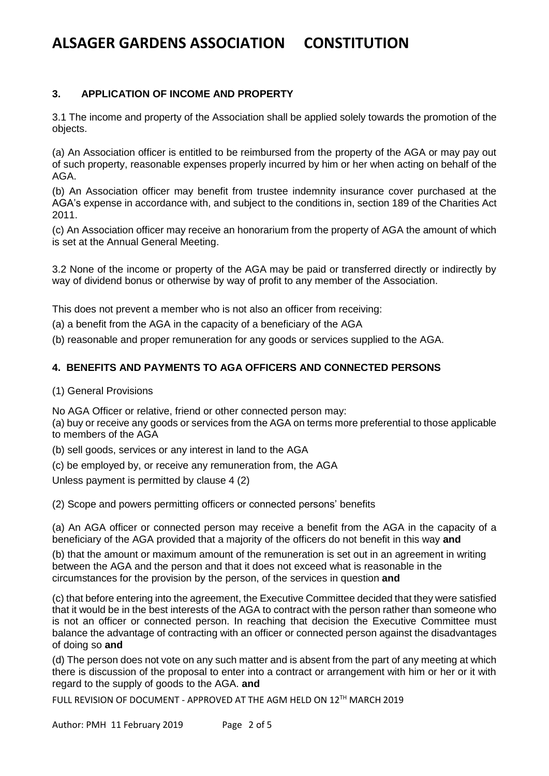# **3. APPLICATION OF INCOME AND PROPERTY**

3.1 The income and property of the Association shall be applied solely towards the promotion of the objects.

(a) An Association officer is entitled to be reimbursed from the property of the AGA or may pay out of such property, reasonable expenses properly incurred by him or her when acting on behalf of the AGA.

(b) An Association officer may benefit from trustee indemnity insurance cover purchased at the AGA's expense in accordance with, and subject to the conditions in, section 189 of the Charities Act 2011.

(c) An Association officer may receive an honorarium from the property of AGA the amount of which is set at the Annual General Meeting.

3.2 None of the income or property of the AGA may be paid or transferred directly or indirectly by way of dividend bonus or otherwise by way of profit to any member of the Association.

This does not prevent a member who is not also an officer from receiving:

(a) a benefit from the AGA in the capacity of a beneficiary of the AGA

(b) reasonable and proper remuneration for any goods or services supplied to the AGA.

### **4. BENEFITS AND PAYMENTS TO AGA OFFICERS AND CONNECTED PERSONS**

(1) General Provisions

No AGA Officer or relative, friend or other connected person may:

(a) buy or receive any goods or services from the AGA on terms more preferential to those applicable to members of the AGA

(b) sell goods, services or any interest in land to the AGA

(c) be employed by, or receive any remuneration from, the AGA

Unless payment is permitted by clause 4 (2)

(2) Scope and powers permitting officers or connected persons' benefits

(a) An AGA officer or connected person may receive a benefit from the AGA in the capacity of a beneficiary of the AGA provided that a majority of the officers do not benefit in this way **and**

(b) that the amount or maximum amount of the remuneration is set out in an agreement in writing between the AGA and the person and that it does not exceed what is reasonable in the circumstances for the provision by the person, of the services in question **and**

(c) that before entering into the agreement, the Executive Committee decided that they were satisfied that it would be in the best interests of the AGA to contract with the person rather than someone who is not an officer or connected person. In reaching that decision the Executive Committee must balance the advantage of contracting with an officer or connected person against the disadvantages of doing so **and**

(d) The person does not vote on any such matter and is absent from the part of any meeting at which there is discussion of the proposal to enter into a contract or arrangement with him or her or it with regard to the supply of goods to the AGA. **and**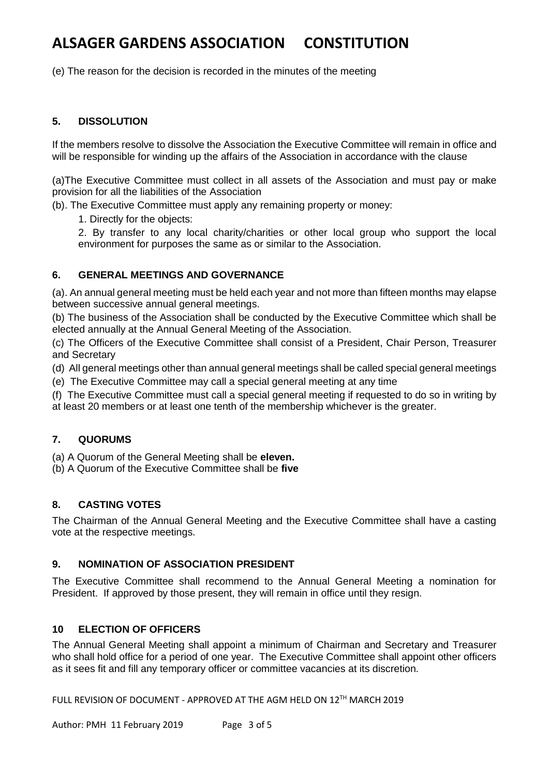(e) The reason for the decision is recorded in the minutes of the meeting

### **5. DISSOLUTION**

If the members resolve to dissolve the Association the Executive Committee will remain in office and will be responsible for winding up the affairs of the Association in accordance with the clause

(a)The Executive Committee must collect in all assets of the Association and must pay or make provision for all the liabilities of the Association

(b). The Executive Committee must apply any remaining property or money:

1. Directly for the objects:

2. By transfer to any local charity/charities or other local group who support the local environment for purposes the same as or similar to the Association.

### **6. GENERAL MEETINGS AND GOVERNANCE**

(a). An annual general meeting must be held each year and not more than fifteen months may elapse between successive annual general meetings.

(b) The business of the Association shall be conducted by the Executive Committee which shall be elected annually at the Annual General Meeting of the Association.

(c) The Officers of the Executive Committee shall consist of a President, Chair Person, Treasurer and Secretary

(d) All general meetings other than annual general meetings shall be called special general meetings

(e) The Executive Committee may call a special general meeting at any time

(f) The Executive Committee must call a special general meeting if requested to do so in writing by at least 20 members or at least one tenth of the membership whichever is the greater.

### **7. QUORUMS**

(a) A Quorum of the General Meeting shall be **eleven.**

(b) A Quorum of the Executive Committee shall be **five**

### **8. CASTING VOTES**

The Chairman of the Annual General Meeting and the Executive Committee shall have a casting vote at the respective meetings.

### **9. NOMINATION OF ASSOCIATION PRESIDENT**

The Executive Committee shall recommend to the Annual General Meeting a nomination for President. If approved by those present, they will remain in office until they resign.

### **10 ELECTION OF OFFICERS**

The Annual General Meeting shall appoint a minimum of Chairman and Secretary and Treasurer who shall hold office for a period of one year. The Executive Committee shall appoint other officers as it sees fit and fill any temporary officer or committee vacancies at its discretion.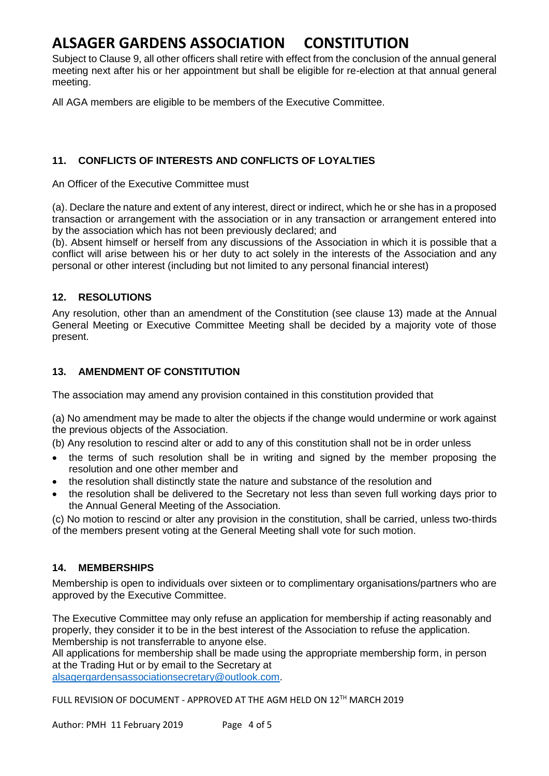Subject to Clause 9, all other officers shall retire with effect from the conclusion of the annual general meeting next after his or her appointment but shall be eligible for re-election at that annual general meeting.

All AGA members are eligible to be members of the Executive Committee.

## **11. CONFLICTS OF INTERESTS AND CONFLICTS OF LOYALTIES**

An Officer of the Executive Committee must

(a). Declare the nature and extent of any interest, direct or indirect, which he or she has in a proposed transaction or arrangement with the association or in any transaction or arrangement entered into by the association which has not been previously declared; and

(b). Absent himself or herself from any discussions of the Association in which it is possible that a conflict will arise between his or her duty to act solely in the interests of the Association and any personal or other interest (including but not limited to any personal financial interest)

## **12. RESOLUTIONS**

Any resolution, other than an amendment of the Constitution (see clause 13) made at the Annual General Meeting or Executive Committee Meeting shall be decided by a majority vote of those present.

### **13. AMENDMENT OF CONSTITUTION**

The association may amend any provision contained in this constitution provided that

(a) No amendment may be made to alter the objects if the change would undermine or work against the previous objects of the Association.

(b) Any resolution to rescind alter or add to any of this constitution shall not be in order unless

- the terms of such resolution shall be in writing and signed by the member proposing the resolution and one other member and
- the resolution shall distinctly state the nature and substance of the resolution and
- the resolution shall be delivered to the Secretary not less than seven full working days prior to the Annual General Meeting of the Association.

(c) No motion to rescind or alter any provision in the constitution, shall be carried, unless two-thirds of the members present voting at the General Meeting shall vote for such motion.

## **14. MEMBERSHIPS**

Membership is open to individuals over sixteen or to complimentary organisations/partners who are approved by the Executive Committee.

The Executive Committee may only refuse an application for membership if acting reasonably and properly, they consider it to be in the best interest of the Association to refuse the application. Membership is not transferrable to anyone else.

All applications for membership shall be made using the appropriate membership form, in person at the Trading Hut or by email to the Secretary at

[alsagergardensassociationsecretary@outlook.com.](mailto:alsagergardensassociationsecretary@outlook.com)

FULL REVISION OF DOCUMENT - APPROVED AT THE AGM HELD ON 12TH MARCH 2019

Author: PMH 11 February 2019 Page 4 of 5